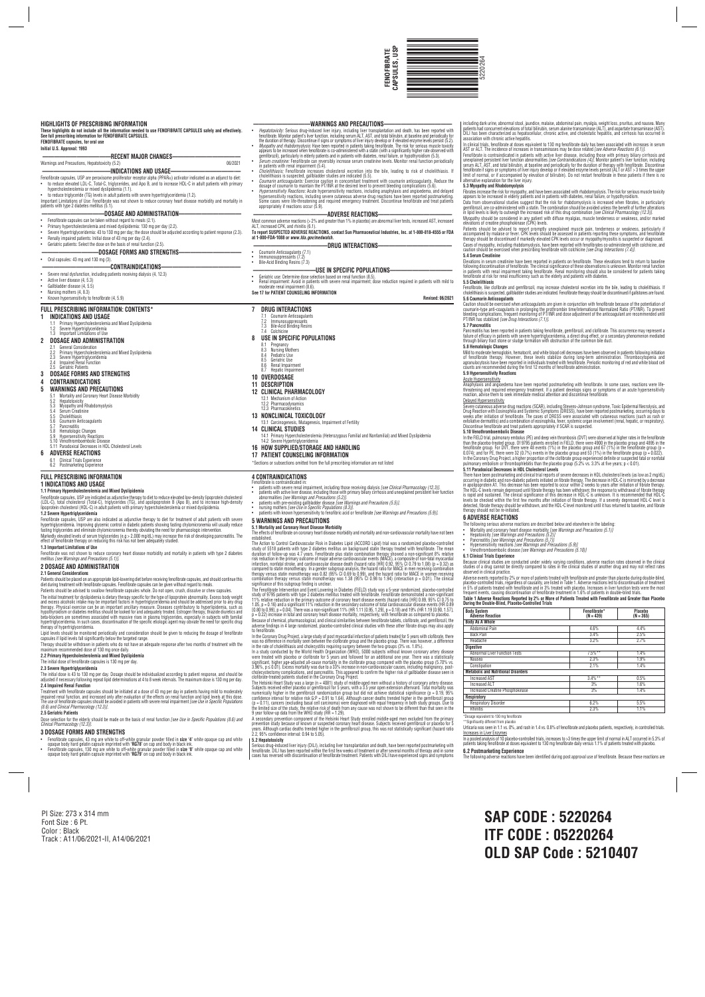- 
- Fenotibrate capsules, 43 mg are white to off-white granular powder filled in **size '4**' white opaque cap and white<br>Opaque body hard gelatin capsule imprinted with **'R678'** on cap and body in black ink.<br>Fenofibrate capsules
- 
- 
- including dark urine, abnormal stool, jaundice, malaise, abdominal pain, myalgia, weight loss, pruritus, and nausea. Many<br>patients had concurrent elevations of total bilirubin, serum alanine transaminase (ALT), and asparta association with chronic active hepatitis.
- In clinical trials, fenofibrate at doses equivalent to 130 mg fenofibrate daily has been associated with increases in serum<br>AST or ALT. The incidence of increases in transaminases may be dose related *Isee Adverse Reaction*
- AST or ALT. Ite incidence of increases in transminases may be dose related *(see Adverse Reactons (5.1).*<br>Fenofibrate is contraindicated in patients with active liver disease, including those with primary biliary cirrhosis
- - **5.3 Myopathy and Rhabdomyolysis** Fibrates increase the risk for myopathy, and have been associated with rhabdomyolysis. The risk for serious muscle toxicity<br>appears to be increased in elderly patients and in patients with diabetes, renal failure, or hypot
	- Data from observational studies suggest that the risk for rhabdomyolysis is increased when fibrates, in particularly<br>genfibrozil, are co-administered with a statin. The combination should be avoided unless the benefit of f
- 
- Patients should be advised to report promptly unexplained muscle pain, tenderiness or weakness, particularly i<br>accompanied by malaise or fever. CPK levels should be assessed in patients reporting these symptoms, and fenofi
- 
- 5.4 Serum Creatnine<br>Elevations in serum creatinine have been reported in patients on fenofibrate. These elevations tend to return to baseline<br>following discontinuation of fenofibrate. The clinical significance of these obs
- **5.5 Cholelithiasis**

- Caution should be exercised when anticoagulants are given in conjunction with tenofibrate because of the potentiation of<br>counrarin-type anti-coagulants in prolonging the prothrombin time/International Normalized Ratio (PT/ PT/INR has stabilized *[see Drug Interactions (7.1)]*.
- **5.7 Pancreatitis**

Pancreatitis has been reported in patients taking tenotibrate, gemitbrozil, and clotibrate. This occurrence may represent a<br>failure of efficacy in patients with severe hypertriglyceridemia, a direct drug effect, or a secon **5.8 Hematologic Changes**

Anaphylaxis and angioedema have been reported postmarketing with fenofibrate. In some cases, reactions were life<br>threatening and required emergency treatment. If a patient develops signs or symptoms of an acute hypersensit Delayed Hypersensitivity

Severe cutaneous adverse drug reactions (SCAR), including Stevens-Johnson syndrome, I oxic Epidermal Necrolysis, and<br>Drug Reaction with Eosinophilia and Systemic Symptoms (DRESS), have been reported postmarketing, occurrin

5.10 Venothromboembolic Ursease<br>In the FIELD trial, pulmonary embolus (PE) and deep vein thrombosis (DVT) were observed at higher rates in the fenofibrate<br>than the placebo-treated group. Of 9795 patients enrolled in FIELD, In the Coronary Drug Project, a higher proportion of the clofibrate group experienced definite or suspected fatal or nonfatal

- Mild to moderate hemoglobin, hematocrit, and white blood cell decreases have been observed in patients following initiation ot tenotibrate therapy. However, these levels stabilize during long-term administration. Inrombocytopenia and<br>agranulocytosis have been reported in individuals treated with fenofibrate. Periodic monitoring of red and white
- **5.9 Hypersensitivity Reactions**
- Acute Hypersensitivity

Urticaria was seen in 1.1 vs. 0%, and rash in 1.4 vs. 0.8% of fenofibrate and placebo patients, respectively, in controlled trials. **Increases in Liver Enzymes** 

In a pooled analysis of 10 placebo-controlled trials, increases to >3 times the upper limit of normal in ALT occurred in 5.3% of<br>patients taking fenofibrate at doses equivalent to 130 mg fenofibrate daily versus 1.1% of pa **6.2 Postmarketing Experience**

• Severe Hypertriglyceridemia: 43 to 130 mg per day; the dose should be adjusted according to patient response (2.3).<br>• Benally impaired patients: Initial dose of 43 mg per day (2.4).<br>• Geriatric patients: Sele **——————————DOSAGE FORMS AND STRENGTHS———————————**

• Active liver disease (4, 5.3) Gallbladder disease (4, 5.5) • Nursing mothers (4, 8.3) • Known hypersensitivity to fenofibrate (4, 5.9)

- hypertriglyceridemia. In such<br>therapy of hypertriglyceride
- 
- 
- 
- 
- 
- 
- 
- 
- 
- 
- Lipid levels should be monitored periodically and consideration should be given to reducing the dosage of fenofibrate
- capsules if lipid levels fall significantly below the targeted range. Therapy should be withdrawn in patients who do not have an adequate response after two months of treatment with the<br>maximum recommended dose of 130 mg once daily.<br>**2.2 Primary Hypercholesterolemia and Mixed Dyslipidemia**

# pulmonary embolism or thrombophlebitis than the placebo group (5.2% vs. 3.3% at five years; p < 0.01). **5.11 Paradoxical Decreases in HDL Cholesterol Levels**

There have been postmarketing and clinical trail reports of severe decreases in HDL choiesterol levels (as low as 2 mg/dL)<br>occurring in diabelic and non-diabelic patients initiated on fibrate therapy. The decrease in HDL-C

# **6 ADVERSE REACTIONS**

- The tollowing serious adverse reactions are described below and elsewhere in the labeling:<br>• Morality and coronary heart disease morbidity *[see Warnings and Precautions (5.1)]*<br>• Pepatoxicity *[see Warnings and Precaution*
- 
- 
- 
- 
- 
- 

**6.1 Clinical Irials Experience**<br>Because clinical studies are conducted under widely varying conditions, adverse reaction rates observed in the clinical<br>studies of a drug cannot be directly compared to rates in the clinica

Adverse events reported by 2% or more of patients treated with tenofibrate and greater than placebo controlled trials, regardless of causality, are listed in Table 1. Adverse reactions led bosonbinuation of treatment in 5%

- 
- 
- 
- Fenotibrate capsules, USP are also indicated as adjunctive therapy to diet for treatment of adult patients with severe<br>hypertriglyceridemia. Improving glycemic control in diabetic patients showing fasting chylomicronemia w Markedly elevated levels of serum triglycerides (e.g > 2,000 mg/dL) may increase the risk of developing pancreatitis. The effect of fenofibrate therapy on reducing this risk has not been adequately studied.
- 5.5 Coumarn Anticoagulants<br>5.7 Pancreatitis<br>5.8 Hematologic Changes<br>5.9 Hypersensitivity Reactions<br>5.11 Paradoxical Decreases in HDL Cholesterol Levels<br>5.11 Paradoxical Decreases in HDL Cholesterol Levels **14 CLINICAL STUDIES**
	-

| <b>Body System</b><br><b>Adverse Reaction</b> | Fenofibrate*<br>$(N = 439)$ | Placebo<br>$(N = 365)$ |  |  |  |  |
|-----------------------------------------------|-----------------------------|------------------------|--|--|--|--|
| <b>Body As A Whole</b>                        |                             |                        |  |  |  |  |
| Abdominal Pain                                | 4.6%                        | 4.4%                   |  |  |  |  |
| <b>Back Pain</b>                              | 3.4%                        | 2.5%                   |  |  |  |  |
| Headache                                      | 3.2%                        | 2.7%                   |  |  |  |  |
| <b>Diaestive</b>                              |                             |                        |  |  |  |  |
| <b>Abnormal Liver Function Tests</b>          | $7.5%$ **                   | 1.4%                   |  |  |  |  |
| Nausea                                        | 2.3%                        | 1.9%                   |  |  |  |  |
| Constipation                                  | 2.1%                        | 1.4%                   |  |  |  |  |
| <b>Metabolic and Nutritional Disorders</b>    |                             |                        |  |  |  |  |
| <b>Increased AST</b>                          | $3.4%$ **                   | 0.5%                   |  |  |  |  |
| <b>Increased ALT</b>                          | 3%                          | 1.6%                   |  |  |  |  |
| <b>Increased Creatine Phosphokinase</b>       | 3%                          | 1.4%                   |  |  |  |  |
| Respiratory                                   |                             |                        |  |  |  |  |
| <b>Respiratory Disorder</b>                   | 6.2%                        | 5.5%                   |  |  |  |  |
| <b>Rhinitis</b>                               | 2.3%                        | 1.1%                   |  |  |  |  |

### \*Dosage equivalent to 130 mg fenofibrate \*\*Significantly different from placebo

Treatment with fenofibrate capsules should be initiated at a dose of 43 mg per day in patients having mild to moderately impaired renal tunction, and increased only atter evaluation of the ettects on renal tunction and lipid levels at this dose.<br>The use of fenofibrate capsules should be avoided in patients with severe renal impairment *[see* 



PI Size: 273 x 314 mm Font Size : 6 Pt. Color : Black Track : A11/06/2021-II, A14/06/2021 **SAP CODE : 5220264 ITF CODE : 05220264 OLD SAP Code : 5210407**

- **4 CONTRAINDICATIONS**
- ofibrate is contraindicated in: • patients with severe renal impairment, including those receiving dialysis *[see Clinical Pharmacology (12.3)].* • patients with active liver disease, including those with primary biliary cirrhosis and unexplained persistent liver function<br>abnormalities *[see Warnings and Precautions (5.2)].*<br>• patients with pre-existing gallbladder
- 
- 
- 
- nursing mothers *[see Use in Specific Populations (8.3)].*<br>• patients with known hypersensitivity to fenofibric acid or fenofibrate *[see Warnings and Precautions (5.9)].*

**FENOFIBRATE capsules, for oral use Initial U.S. Approval: 1993**

Warnings and Precautions, Hepatotoxicity (5.2)

**————————————RECENT MAJOR CHANGES————————————**

**———————————DOSAGE AND ADMINISTRATION———————————** • Fenofibrate capsules can be taken without regard to meals (2.1). • Primary hypercholesterolemia and mixed dyslipidemia: 130 mg per day (2.2).

• Oral capsules: 43 mg and 130 mg (3).

**————————————CONTRAINDICATIONS——————————————**

• Severe renal dysfunction, including patients receiving dialysis (4, 12.3)



- 
- cholenthinasis is suspected, galibladder studies are indicated (5.5).<br>Courarin anticoagulants: Exercise caution in concomitant treatment with cournarin anticoagulants. Reduce the<br>dosage of cournarin to maintain the PT/INR

**—————————————ADVERSE REACTIONS—————————————** Most common adverse reactions (> 2% and greater than 1% in placebo) are abnormal liver tests, increased AST, increased ALI, increased CPK, and minitis (6.1).<br>To report SUSPECTED ADVERSE REACTIONS, contact Sun Pharmaceutical Industries, Inc. at 1-800-818-4555 or FDA<br>at 1-800-FDA-1088 or *www.fda.gov/medwatch.* **—————————————DRUG INTERACTIONS—————————————**

**USE IN SPECIFIC PUPULATIONS——**<br>• Geriatric use: Determine dose selection based on renal function (8.5).<br>• Geriat impairment: Avoid in patients with severe renal impairment; dose reduction required in patients with mild to

• Coumarin Anticoagulants (7.1) • Immunosuppressants (7.2) • Bile-Acid Binding Resins (7.3)

**See 17 for PATIENT COUNSELING INFORMATION**

**Revised: 06/2021**

Fenofibrate, like clofibrate and gemfibrozil, may increase cholesterol excretion into the bile, leading to cholelithiasis. If<br>cholelithiasis is suspected, gallbladder studies are indicated. Fenofibrate therapy should be di

**FULL PRESCRIBING INFORMATION: CONTENTS\***

**1 INDICATIONS AND USAGE**

1.1 Primary Hypercholesterolemia and Mixed Dyslipidemia 1.2 Severe Hypertriglyceridemia 1.3 Important Limitations of Use

**2 DOSAGE AND ADMINISTRATION**

2.1 General Consideration 2.2 Primary Hypercholesterolemia and Mixed Dyslipidemia

2.3 Severe Hypertriglyceridemia 2.4 Impaired Renal Function 2.5 Geriatric Patients **3 DOSAGE FORMS AND STRENGTHS 4 CONTRAINDICATIONS 5 WARNINGS AND PRECAUTIONS** 5.1 Mortality and Coronary Heart Disease Morbidity 5.2 Hepatotoxicity

5.3 Myopathy and Rhabdomyolysis 5.4 Serum Creatinine 5.5 Cholelithiasis

**6 ADVERSE REACTIONS** 6.1 Clinical Trials Experience 6.2 Postmarketing Experience **7 DRUG INTERACTIONS** Coumarin Anticoagu 7.2 Immunosuppressants 7.3 Bile-Acid Binding Resins 7.4 Colchicine **8 USE IN SPECIFIC POPULATIONS** 8.1 Pregnancy 8.3 Nursing Mothers 8.4 Pediatric Use<br>8.5 Geriatric Use Geriatric Use 8.6 Renal Impairment 8.7 Hepatic Impairment **10 OVERDOSAGE 11 DESCRIPTION**

**12 CLINICAL PHARMACOLOGY** 12.1 Mechanism of Action 12.2 Pharmacodynamics 12.3 Pharmacokinetics **13 NONCLINICAL TOXICOLOGY**

13.1 Carcinogenesis, Mutagenesis, Impairment of Fertility

14.1 Primary Hypercholesterolemia (Heterozygous Familial and Nonfamilial) and Mixed Dyslipidemia 14.2 Severe Hypertriglyceridemia

- **16 HOW SUPPLIED/STORAGE AND HANDLING**
- 
- **17 PATIENT COUNSELING INFORMATION**
- 
- \*Sections or subsections omitted from the full prescribing information are not listed
	-

**FULL PRESCRIBING INFORMATION 1 INDICATIONS AND USAGE**

**1.1 Primary Hypercholesterolemia and Mixed Dyslipidemia**

**1.2 Severe Hypertriglyceridemia**

**1.3 Important Limitations of Use**

Fenofibrate was not shown to reduce coronary heart disease morbidity and mortality in patients with type 2 diabetes mellitus *[see Warnings and Precautions (5.1)]*.

HIGHLIGH I S UF PHESCHIBING INFUHMA IIUN<br>These highlights do not include all the information needed to use FENOFIBRATE CAPSULES safely and effectively.<br>See full prescribing information for FENOFIBRATE CAPSULES.

Franchilde capsules, USP are peroxisome proliferati**ons AND USAGE**<br>• to reduce elevated LDL-C, Total-C, triglycerides, and Apo B, and to increase HDL-C in adult patients with primary<br>• to reduce elevated LDL-C, Total-C, tr

• to reduce triglyceride (TG) levels in adult patients with severe hypertriglyceridemia (1.2).<br>Important Limitations of Use: Fenofibrate was not shown to reduce coronary heart disease morbidity and mortality in<br>patients wi

**2 DOSAGE AND ADMINISTRATION 2.1 General Considerations**

The initial dose of fenofibrate capsules is 130 mg per day.

**2.3 Severe Hypertriglyceridemia**

The initial dose is 43 to 130 mg per day. Dosage should be individualized according to patient response, and should be adjusted if necessary following repeat lipid determinations at 4 to 8 week intervals. The maximum dose is 130 mg per day.

**2.4 Impaired Renal Function**

*(8.6) and Clinical Pharmacology (12.3)]*. **2.5 Geriatric Patients**

Dose selection for the elderly should be made on the basis of renal function *[see Use in Specific Populations (8.6) and*

*Clinical Pharmacology (12.3)]*.

- **3 DOSAGE FORMS AND STRENGTHS**
- 
- 
- Patients should be placed on an appropriate lipid-lowering diet before receiving fenofibrate capsules, and should continue this<br>diet during treatment with fenofibrate capsules. Fenofibrate capsules can be given without reg The initial treatment for dyslipidemia is dietary therapy specific for the type of lipoprotein abnormality. Excess body weight<br>and excess alcoholic intake may be important factors in hypertriglyceridemia and should be addr

Fenofibrate capsules, USP are indicated as adjunctive therapy to diet to reduce elevated low-density lipoprotein cholesterol<br>(LDL-C), total cholesterol (Total-C), triglycerides (TG), and apolipoprotein B (Apo B), and to in

# **5 WARNINGS AND PRECAUTIONS**

# **5.1 Mortality and Coronary Heart Disease Morbidity**

The effects of fenofibrate on coronary heart disease morbidity and mortality and non-cardiovascular mortality have not been

- established.<br>The Action to Control Cardiovascular Risk in Diabetes Lipid (ACCORD Lipid) trial was a randomized placebo-controlled The Action to Control Cardiovascular Risk in Diabetes Lipid (ACCORD Lipid) trial was a randomized placebo-controlled<br>study of 5518 patients with type 2 diabetes mellitus on background statin therapy treated with fenofibrat compared to statin monotherapy. In a gender subgroup analysis, the hazard ratio for MACE in men receiving combination<br>therapy versus statin monotherapy was 0.82 (95% C1 0.69 to 0.99), and the hazard ratio for MACE in women
- significance of this subgroup finding is unclear.<br>The Fenofibrate Intervention and Event Lowering in Diabetes (FIELD) study was a 5-year randomized, placebo-controlled<br>study of 9795 patients with type 2 diabetes mellitus t
- 
- 
- to ienotinate.<br>In the Coronary Drug Project, a large study of post myocardial infarction of patients treated for 5 years with clofibrate, there was no difference in mortality seen between the clofibrate group and the place
- 

Serious drug-induced liver injury (DILI), including liver transplantation and death, have been reported postmarketing with<br>fenofibrate. DILI has been reported within the first few weeks of treatment or after several months